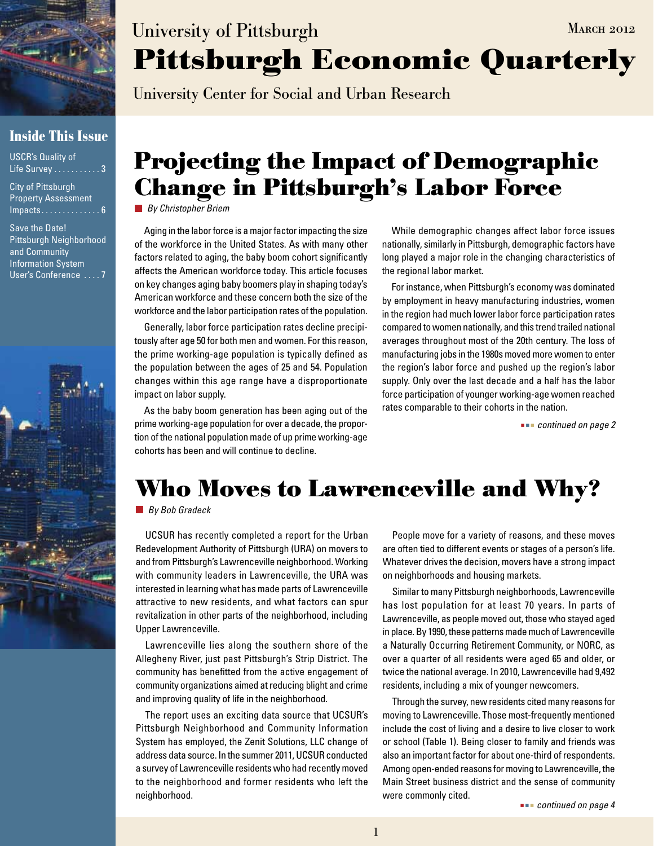

### **Inside This Issue**

USCR's Quality of Life Survey . . . . . . . . . . . 3

City of Pittsburgh Property Assessment  $Impacts \ldots \ldots \ldots \ldots 6$ 

Save the Date! Pittsburgh Neighborhood and Community Information System User's Conference .... 7



# **Pittsburgh Economic Quarterly** University of Pittsburgh MARCH 2012

University Center for Social and Urban Research

## **Projecting the Impact of Demographic Change in Pittsburgh's Labor Force**

*By Christopher Briem*

Aging in the labor force is a major factor impacting the size of the workforce in the United States. As with many other factors related to aging, the baby boom cohort significantly affects the American workforce today. This article focuses on key changes aging baby boomers play in shaping today's American workforce and these concern both the size of the workforce and the labor participation rates of the population.

Generally, labor force participation rates decline precipitously after age 50 for both men and women. For this reason, the prime working-age population is typically defined as the population between the ages of 25 and 54. Population changes within this age range have a disproportionate impact on labor supply.

As the baby boom generation has been aging out of the prime working-age population for over a decade, the proportion of the national population made of up prime working-age cohorts has been and will continue to decline.

While demographic changes affect labor force issues nationally, similarly in Pittsburgh, demographic factors have long played a major role in the changing characteristics of the regional labor market.

For instance, when Pittsburgh's economy was dominated by employment in heavy manufacturing industries, women in the region had much lower labor force participation rates compared to women nationally, and this trend trailed national averages throughout most of the 20th century. The loss of manufacturing jobs in the 1980s moved more women to enter the region's labor force and pushed up the region's labor supply. Only over the last decade and a half has the labor force participation of younger working-age women reached rates comparable to their cohorts in the nation.

 *continued on page 2*

# **Who Moves to Lawrenceville and Why?**

*By Bob Gradeck*

UCSUR has recently completed a report for the Urban Redevelopment Authority of Pittsburgh (URA) on movers to and from Pittsburgh's Lawrenceville neighborhood. Working with community leaders in Lawrenceville, the URA was interested in learning what has made parts of Lawrenceville attractive to new residents, and what factors can spur revitalization in other parts of the neighborhood, including Upper Lawrenceville.

Lawrenceville lies along the southern shore of the Allegheny River, just past Pittsburgh's Strip District. The community has benefitted from the active engagement of community organizations aimed at reducing blight and crime and improving quality of life in the neighborhood.

The report uses an exciting data source that UCSUR's Pittsburgh Neighborhood and Community Information System has employed, the Zenit Solutions, LLC change of address data source. In the summer 2011, UCSUR conducted a survey of Lawrenceville residents who had recently moved to the neighborhood and former residents who left the neighborhood.

People move for a variety of reasons, and these moves are often tied to different events or stages of a person's life. Whatever drives the decision, movers have a strong impact on neighborhoods and housing markets.

Similar to many Pittsburgh neighborhoods, Lawrenceville has lost population for at least 70 years. In parts of Lawrenceville, as people moved out, those who stayed aged in place. By 1990, these patterns made much of Lawrenceville a Naturally Occurring Retirement Community, or NORC, as over a quarter of all residents were aged 65 and older, or twice the national average. In 2010, Lawrenceville had 9,492 residents, including a mix of younger newcomers.

Through the survey, new residents cited many reasons for moving to Lawrenceville. Those most-frequently mentioned include the cost of living and a desire to live closer to work or school (Table 1). Being closer to family and friends was also an important factor for about one-third of respondents. Among open-ended reasons for moving to Lawrenceville, the Main Street business district and the sense of community were commonly cited.

 *continued on page 4*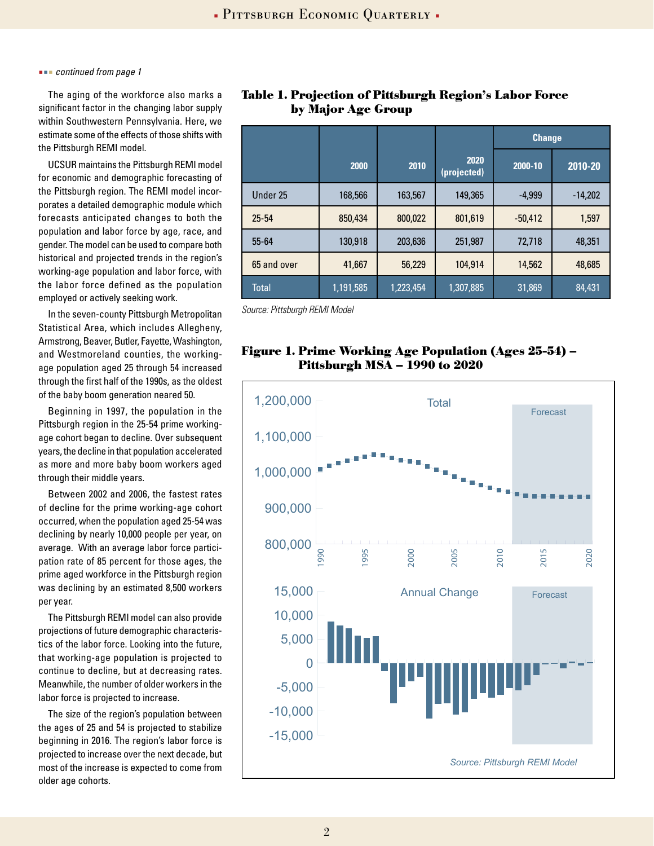#### *continued from page 1*

The aging of the workforce also marks a significant factor in the changing labor supply within Southwestern Pennsylvania. Here, we estimate some of the effects of those shifts with the Pittsburgh REMI model.

UCSUR maintains the Pittsburgh REMI model for economic and demographic forecasting of the Pittsburgh region. The REMI model incorporates a detailed demographic module which forecasts anticipated changes to both the population and labor force by age, race, and gender. The model can be used to compare both historical and projected trends in the region's working-age population and labor force, with the labor force defined as the population employed or actively seeking work.

In the seven-county Pittsburgh Metropolitan Statistical Area, which includes Allegheny, Armstrong, Beaver, Butler, Fayette, Washington, and Westmoreland counties, the workingage population aged 25 through 54 increased through the first half of the 1990s, as the oldest of the baby boom generation neared 50.

Beginning in 1997, the population in the Pittsburgh region in the 25-54 prime workingage cohort began to decline. Over subsequent years, the decline in that population accelerated as more and more baby boom workers aged through their middle years.

Between 2002 and 2006, the fastest rates of decline for the prime working-age cohort occurred, when the population aged 25-54 was declining by nearly 10,000 people per year, on average. With an average labor force participation rate of 85 percent for those ages, the prime aged workforce in the Pittsburgh region was declining by an estimated 8,500 workers per year.

The Pittsburgh REMI model can also provide projections of future demographic characteristics of the labor force. Looking into the future, that working-age population is projected to continue to decline, but at decreasing rates. Meanwhile, the number of older workers in the labor force is projected to increase.

The size of the region's population between the ages of 25 and 54 is projected to stabilize beginning in 2016. The region's labor force is projected to increase over the next decade, but most of the increase is expected to come from older age cohorts.

|             |         |         |                     | <b>Change</b> |           |
|-------------|---------|---------|---------------------|---------------|-----------|
|             | 2000    | 2010    | 2020<br>(projected) | 2000-10       | 2010-20   |
| Under 25    | 168,566 | 163,567 | 149,365             | $-4,999$      | $-14,202$ |
| $25 - 54$   | 850,434 | 800,022 | 801,619             | $-50,412$     | 1,597     |
| 55-64       | 130,918 | 203,636 | 251,987             | 72,718        | 48,351    |
| 65 and over | 41,667  | 56,229  | 104,914             | 14,562        | 48,685    |

Total 1,191,585 1,223,454 1,307,885 31,869 84,431

**Table 1. Projection of Pittsburgh Region's Labor Force by Major Age Group**

*Source: Pittsburgh REMI Model*

### **Figure 1. Prime Working Age Population (Ages 25-54) – Pittsburgh MSA – 1990 to 2020**

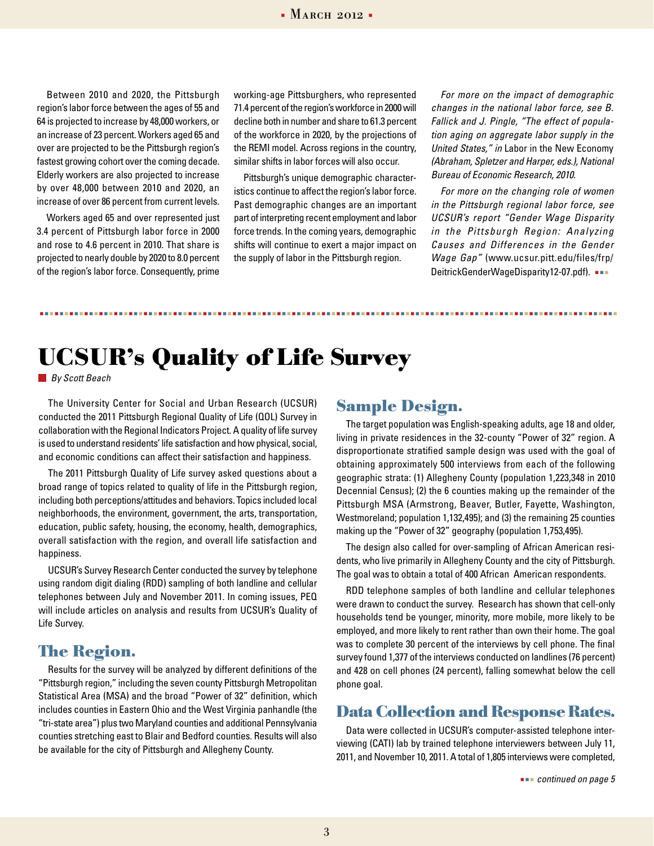Between 2010 and 2020, the Pittsburgh region's labor force between the ages of 55 and 64 is projected to increase by 48,000 workers, or an increase of 23 percent. Workers aged 65 and over are projected to be the Pittsburgh region's fastest growing cohort over the coming decade. Elderly workers are also projected to increase by over 48,000 between 2010 and 2020, an increase of over 86 percent from current levels.

Workers aged 65 and over represented just 3.4 percent of Pittsburgh labor force in 2000 and rose to 4.6 percent in 2010. That share is projected to nearly double by 2020 to 8.0 percent of the region's labor force. Consequently, prime

working-age Pittsburghers, who represented 71.4 percent of the region's workforce in 2000 will decline both in number and share to 61.3 percent of the workforce in 2020, by the projections of the REMI model. Across regions in the country, similar shifts in labor forces will also occur.

Pittsburgh's unique demographic characteristics continue to affect the region's labor force. Past demographic changes are an important part of interpreting recent employment and labor force trends. In the coming years, demographic shifts will continue to exert a major impact on the supply of labor in the Pittsburgh region.

*For more on the impact of demographic changes in the national labor force, see B. Fallick and J. Pingle, "The effect of population aging on aggregate labor supply in the United States," in* Labor in the New Economy *(Abraham, Spletzer and Harper, eds.), National Bureau of Economic Research, 2010.*

*For more on the changing role of women in the Pittsburgh regional labor force, see UCSUR's report "Gender Wage Disparity in the Pittsburgh Region: Analyzing Causes and Differences in the Gender Wage Gap"* (www.ucsur.pitt.edu/files/frp/ DeitrickGenderWageDisparity12-07.pdf)*.* 

## **UCSUR's Quality of Life Survey**

*By Scott Beach*

The University Center for Social and Urban Research (UCSUR) conducted the 2011 Pittsburgh Regional Quality of Life (QOL) Survey in collaboration with the Regional Indicators Project. A quality of life survey is used to understand residents' life satisfaction and how physical, social, and economic conditions can affect their satisfaction and happiness.

The 2011 Pittsburgh Quality of Life survey asked questions about a broad range of topics related to quality of life in the Pittsburgh region, including both perceptions/attitudes and behaviors. Topics included local neighborhoods, the environment, government, the arts, transportation, education, public safety, housing, the economy, health, demographics, overall satisfaction with the region, and overall life satisfaction and happiness.

UCSUR's Survey Research Center conducted the survey by telephone using random digit dialing (RDD) sampling of both landline and cellular telephones between July and November 2011. In coming issues, PEQ will include articles on analysis and results from UCSUR's Quality of Life Survey.

## **The Region.**

Results for the survey will be analyzed by different definitions of the "Pittsburgh region," including the seven county Pittsburgh Metropolitan Statistical Area (MSA) and the broad "Power of 32" definition, which includes counties in Eastern Ohio and the West Virginia panhandle (the "tri-state area") plus two Maryland counties and additional Pennsylvania counties stretching east to Blair and Bedford counties. Results will also be available for the city of Pittsburgh and Allegheny County.

### **Sample Design.**

The target population was English-speaking adults, age 18 and older, living in private residences in the 32-county "Power of 32" region. A disproportionate stratified sample design was used with the goal of obtaining approximately 500 interviews from each of the following geographic strata: (1) Allegheny County (population 1,223,348 in 2010 Decennial Census); (2) the 6 counties making up the remainder of the Pittsburgh MSA (Armstrong, Beaver, Butler, Fayette, Washington, Westmoreland; population 1,132,495); and (3) the remaining 25 counties making up the "Power of 32" geography (population 1,753,495).

The design also called for over-sampling of African American residents, who live primarily in Allegheny County and the city of Pittsburgh. The goal was to obtain a total of 400 African American respondents.

RDD telephone samples of both landline and cellular telephones were drawn to conduct the survey. Research has shown that cell-only households tend be younger, minority, more mobile, more likely to be employed, and more likely to rent rather than own their home. The goal was to complete 30 percent of the interviews by cell phone. The final survey found 1,377 of the interviews conducted on landlines (76 percent) and 428 on cell phones (24 percent), falling somewhat below the cell phone goal.

### **Data Collection and Response Rates.**

Data were collected in UCSUR's computer-assisted telephone interviewing (CATI) lab by trained telephone interviewers between July 11, 2011, and November 10, 2011. A total of 1,805 interviews were completed,

 *continued on page 5*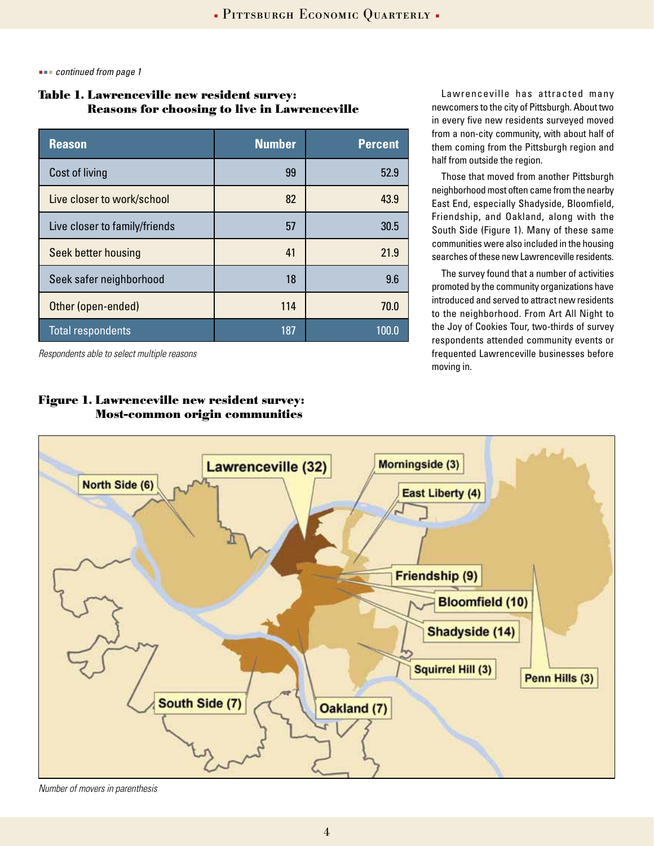*continued from page 1*

### **Table 1. Lawrenceville new resident survey: Reasons for choosing to live in Lawrenceville**

| <b>Reason</b>                 | <b>Number</b> | <b>Percent</b> |
|-------------------------------|---------------|----------------|
| Cost of living                | 99            | 52.9           |
| Live closer to work/school    | 82            | 43.9           |
| Live closer to family/friends | 57            | 30.5           |
| Seek better housing           | 41            | 21.9           |
| Seek safer neighborhood       | 18            | 9.6            |
| Other (open-ended)            | 114           | 70.0           |
| <b>Total respondents</b>      | 187           | 100.0          |

*Respondents able to select multiple reasons*

### **Figure 1. Lawrenceville new resident survey: Most-common origin communities**

Lawrenceville has attracted many newcomers to the city of Pittsburgh. About two in every five new residents surveyed moved from a non-city community, with about half of them coming from the Pittsburgh region and half from outside the region.

Those that moved from another Pittsburgh neighborhood most often came from the nearby East End, especially Shadyside, Bloomfield, Friendship, and Oakland, along with the South Side (Figure 1). Many of these same communities were also included in the housing searches of these new Lawrenceville residents.

The survey found that a number of activities promoted by the community organizations have introduced and served to attract new residents to the neighborhood. From Art All Night to the Joy of Cookies Tour, two-thirds of survey respondents attended community events or frequented Lawrenceville businesses before moving in.



*Number of movers in parenthesis*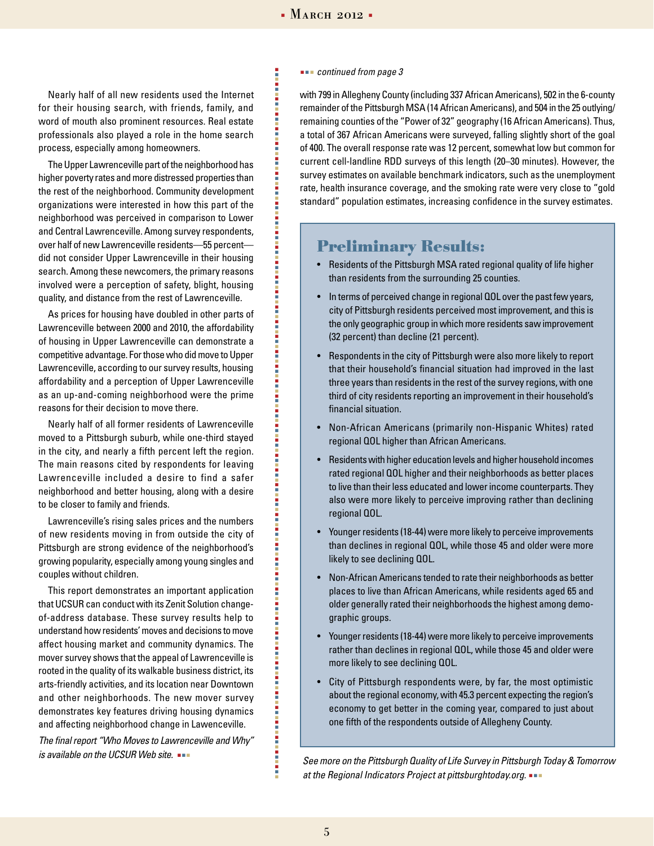### $\blacksquare$ Pittsburgh Economic Quarterly  $\blacksquare$  March 2012  $\blacksquare$

ŧ

i

i

i

Ē

i

i

i i i i i i i

i<br>Sidan

Nearly half of all new residents used the Internet for their housing search, with friends, family, and word of mouth also prominent resources. Real estate professionals also played a role in the home search process, especially among homeowners.

The Upper Lawrenceville part of the neighborhood has higher poverty rates and more distressed properties than the rest of the neighborhood. Community development organizations were interested in how this part of the neighborhood was perceived in comparison to Lower and Central Lawrenceville. Among survey respondents, over half of new Lawrenceville residents—55 percent did not consider Upper Lawrenceville in their housing search. Among these newcomers, the primary reasons involved were a perception of safety, blight, housing quality, and distance from the rest of Lawrenceville.

As prices for housing have doubled in other parts of Lawrenceville between 2000 and 2010, the affordability of housing in Upper Lawrenceville can demonstrate a competitive advantage. For those who did move to Upper Lawrenceville, according to our survey results, housing affordability and a perception of Upper Lawrenceville as an up-and-coming neighborhood were the prime reasons for their decision to move there.

Nearly half of all former residents of Lawrenceville moved to a Pittsburgh suburb, while one-third stayed in the city, and nearly a fifth percent left the region. The main reasons cited by respondents for leaving Lawrenceville included a desire to find a safer neighborhood and better housing, along with a desire to be closer to family and friends.

Lawrenceville's rising sales prices and the numbers of new residents moving in from outside the city of Pittsburgh are strong evidence of the neighborhood's growing popularity, especially among young singles and couples without children.

This report demonstrates an important application that UCSUR can conduct with its Zenit Solution changeof-address database. These survey results help to understand how residents' moves and decisions to move affect housing market and community dynamics. The mover survey shows that the appeal of Lawrenceville is rooted in the quality of its walkable business district, its arts-friendly activities, and its location near Downtown and other neighborhoods. The new mover survey demonstrates key features driving housing dynamics and affecting neighborhood change in Lawenceville.

*The final report "Who Moves to Lawrenceville and Why" is available on the UCSUR Web site.* 

#### *continued from page 3*

with 799 in Allegheny County (including 337 African Americans), 502 in the 6-county remainder of the Pittsburgh MSA (14 African Americans), and 504 in the 25 outlying/ remaining counties of the "Power of 32" geography (16 African Americans). Thus, a total of 367 African Americans were surveyed, falling slightly short of the goal of 400. The overall response rate was 12 percent, somewhat low but common for current cell-landline RDD surveys of this length (20–30 minutes). However, the survey estimates on available benchmark indicators, such as the unemployment rate, health insurance coverage, and the smoking rate were very close to "gold standard" population estimates, increasing confidence in the survey estimates.

### **Preliminary Results:**

- Residents of the Pittsburgh MSA rated regional quality of life higher than residents from the surrounding 25 counties.
- In terms of perceived change in regional QOL over the past few years, city of Pittsburgh residents perceived most improvement, and this is the only geographic group in which more residents saw improvement (32 percent) than decline (21 percent).
- Respondents in the city of Pittsburgh were also more likely to report that their household's financial situation had improved in the last three years than residents in the rest of the survey regions, with one third of city residents reporting an improvement in their household's financial situation.
- Non-African Americans (primarily non-Hispanic Whites) rated regional QOL higher than African Americans.
- Residents with higher education levels and higher household incomes rated regional QOL higher and their neighborhoods as better places to live than their less educated and lower income counterparts. They also were more likely to perceive improving rather than declining regional QOL.
- Younger residents (18-44) were more likely to perceive improvements than declines in regional QOL, while those 45 and older were more likely to see declining QOL.
- Non-African Americans tended to rate their neighborhoods as better places to live than African Americans, while residents aged 65 and older generally rated their neighborhoods the highest among demographic groups.
- Younger residents (18-44) were more likely to perceive improvements rather than declines in regional QOL, while those 45 and older were more likely to see declining QOL.
- City of Pittsburgh respondents were, by far, the most optimistic about the regional economy, with 45.3 percent expecting the region's economy to get better in the coming year, compared to just about one fifth of the respondents outside of Allegheny County.

*See more on the Pittsburgh Quality of Life Survey in Pittsburgh Today & Tomorrow at the Regional Indicators Project at pittsburghtoday.org.* 

医皮肤病 医皮肤病 医皮肤病

i Ē

i i i i i i i i i

Ē

i i i i i i i

i

i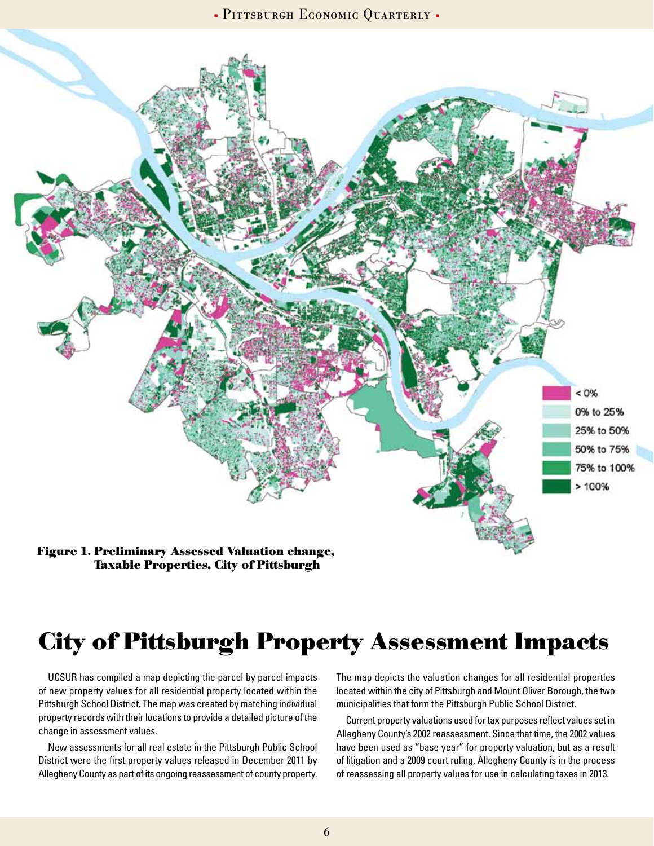**PITTSBURGH ECONOMIC QUARTERLY** 



**Taxable Properties, City of Pittsburgh** 

## **City of Pittsburgh Property Assessment Impacts**

UCSUR has compiled a map depicting the parcel by parcel impacts of new property values for all residential property located within the Pittsburgh School District. The map was created by matching individual property records with their locations to provide a detailed picture of the change in assessment values.

New assessments for all real estate in the Pittsburgh Public School District were the first property values released in December 2011 by Allegheny County as part of its ongoing reassessment of county property.

The map depicts the valuation changes for all residential properties located within the city of Pittsburgh and Mount Oliver Borough, the two municipalities that form the Pittsburgh Public School District.

Current property valuations used for tax purposes reflect values set in Allegheny County's 2002 reassessment. Since that time, the 2002 values have been used as "base year" for property valuation, but as a result of litigation and a 2009 court ruling, Allegheny County is in the process of reassessing all property values for use in calculating taxes in 2013.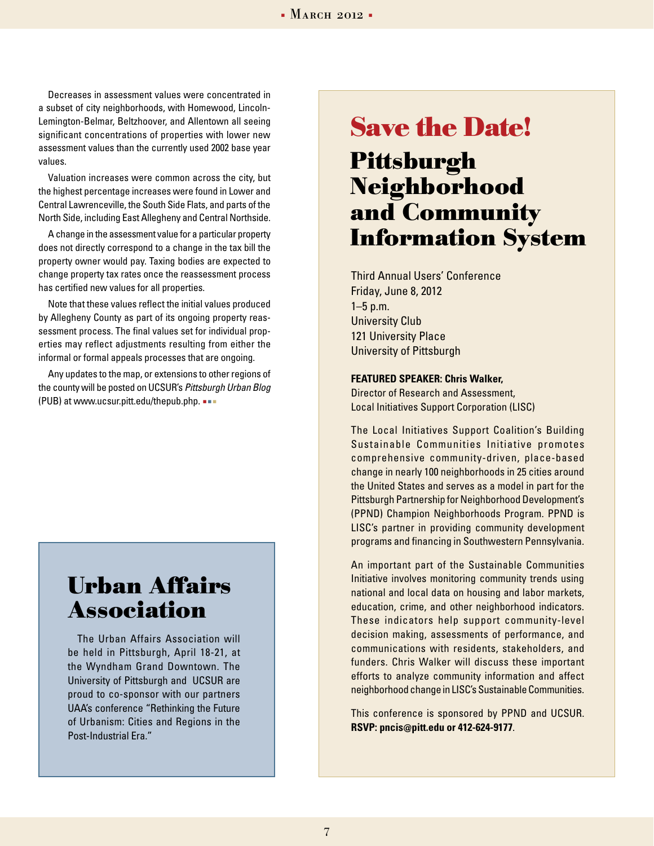Decreases in assessment values were concentrated in a subset of city neighborhoods, with Homewood, Lincoln-Lemington-Belmar, Beltzhoover, and Allentown all seeing significant concentrations of properties with lower new assessment values than the currently used 2002 base year values.

Valuation increases were common across the city, but the highest percentage increases were found in Lower and Central Lawrenceville, the South Side Flats, and parts of the North Side, including East Allegheny and Central Northside.

A change in the assessment value for a particular property does not directly correspond to a change in the tax bill the property owner would pay. Taxing bodies are expected to change property tax rates once the reassessment process has certified new values for all properties.

Note that these values reflect the initial values produced by Allegheny County as part of its ongoing property reassessment process. The final values set for individual properties may reflect adjustments resulting from either the informal or formal appeals processes that are ongoing.

Any updates to the map, or extensions to other regions of the county will be posted on UCSUR's *Pittsburgh Urban Blog* (PUB) at www.ucsur.pitt.edu/thepub.php.

## **Urban Affairs Association**

The Urban Affairs Association will be held in Pittsburgh, April 18-21, at the Wyndham Grand Downtown. The University of Pittsburgh and UCSUR are proud to co-sponsor with our partners UAA's conference "Rethinking the Future of Urbanism: Cities and Regions in the Post-Industrial Era."

## **Pittsburgh Neighborhood and Community Information System Save the Date!**

Third Annual Users' Conference Friday, June 8, 2012 1–5 p.m. University Club 121 University Place University of Pittsburgh

#### **Featured Speaker: Chris Walker,**

Director of Research and Assessment, Local Initiatives Support Corporation (LISC)

The Local Initiatives Support Coalition's Building Sustainable Communities Initiative promotes comprehensive community-driven, place-based change in nearly 100 neighborhoods in 25 cities around the United States and serves as a model in part for the Pittsburgh Partnership for Neighborhood Development's (PPND) Champion Neighborhoods Program. PPND is LISC's partner in providing community development programs and financing in Southwestern Pennsylvania.

An important part of the Sustainable Communities Initiative involves monitoring community trends using national and local data on housing and labor markets, education, crime, and other neighborhood indicators. These indicators help support community-level decision making, assessments of performance, and communications with residents, stakeholders, and funders. Chris Walker will discuss these important efforts to analyze community information and affect neighborhood change in LISC's Sustainable Communities.

This conference is sponsored by PPND and UCSUR. **RSVP: pncis@pitt.edu or 412-624-9177**.